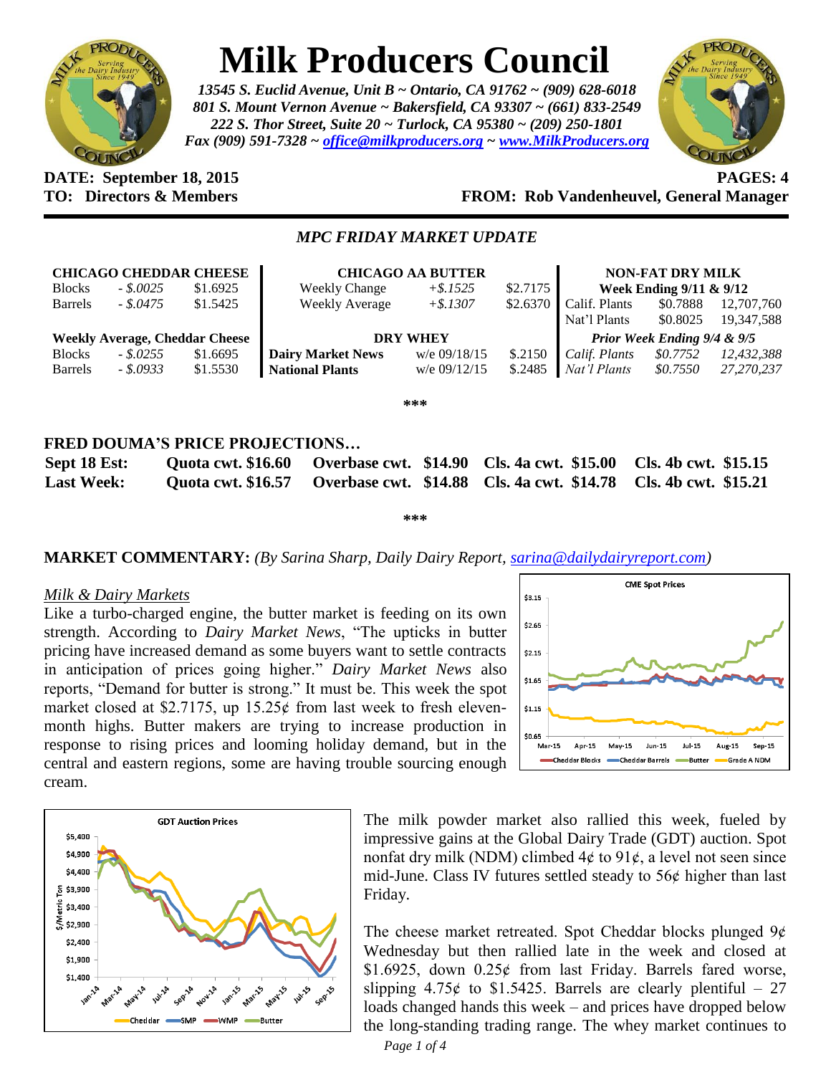

# **Milk Producers Council**

*13545 S. Euclid Avenue, Unit B ~ Ontario, CA 91762 ~ (909) 628-6018 801 S. Mount Vernon Avenue ~ Bakersfield, CA 93307 ~ (661) 833-2549 222 S. Thor Street, Suite 20 ~ Turlock, CA 95380 ~ (209) 250-1801 Fax (909) 591-7328 ~ [office@milkproducers.org](mailto:office@milkproducers.org) ~ [www.MilkProducers.org](http://www.milkproducers.org/)*



#### **DATE: September 18, 2015 PAGES: 4 TO: Directors & Members FROM: Rob Vandenheuvel, General Manager**

## *MPC FRIDAY MARKET UPDATE*

| <b>Blocks</b>                         | <b>CHICAGO CHEDDAR CHEESE</b><br>$-.5.0025$ | \$1.6925 | <b>Weekly Change</b>     | <b>CHICAGO AA BUTTER</b><br>$+$ \$.1525 | \$2.7175 | <b>NON-FAT DRY MILK</b><br>Week Ending $9/11 \& 9/12$ |          |            |  |  |
|---------------------------------------|---------------------------------------------|----------|--------------------------|-----------------------------------------|----------|-------------------------------------------------------|----------|------------|--|--|
| <b>Barrels</b>                        | - \$.0475                                   | \$1.5425 | <b>Weekly Average</b>    | $+$ \$.1307                             | \$2.6370 | Calif. Plants                                         | \$0.7888 | 12,707,760 |  |  |
|                                       |                                             |          |                          |                                         |          | Nat'l Plants                                          | \$0.8025 | 19,347,588 |  |  |
| <b>Weekly Average, Cheddar Cheese</b> |                                             |          | <b>DRY WHEY</b>          |                                         |          | Prior Week Ending 9/4 & 9/5                           |          |            |  |  |
| <b>Blocks</b>                         | $-.8.0255$                                  | \$1.6695 | <b>Dairy Market News</b> | w/e 09/18/15                            | \$.2150  | Calif. Plants                                         | \$0.7752 | 12,432,388 |  |  |
| <b>Barrels</b>                        | $-.5.0933$                                  | \$1.5530 | <b>National Plants</b>   | $w/e$ 09/12/15                          | \$.2485  | Nat'l Plants                                          | \$0.7550 | 27,270,237 |  |  |
| ***                                   |                                             |          |                          |                                         |          |                                                       |          |            |  |  |
|                                       |                                             |          |                          |                                         |          |                                                       |          |            |  |  |

# **FRED DOUMA'S PRICE PROJECTIONS…**

| Sept 18 Est:      |  | Quota cwt. \$16.60 Overbase cwt. \$14.90 Cls. 4a cwt. \$15.00 Cls. 4b cwt. \$15.15 |  |
|-------------------|--|------------------------------------------------------------------------------------|--|
| <b>Last Week:</b> |  | Quota cwt. \$16.57 Overbase cwt. \$14.88 Cls. 4a cwt. \$14.78 Cls. 4b cwt. \$15.21 |  |

**\*\*\***

## **MARKET COMMENTARY:** *(By Sarina Sharp, Daily Dairy Report, [sarina@dailydairyreport.com\)](mailto:sarina@dailydairyreport.com)*

#### *Milk & Dairy Markets*

Like a turbo-charged engine, the butter market is feeding on its own strength. According to *Dairy Market News*, "The upticks in butter pricing have increased demand as some buyers want to settle contracts in anticipation of prices going higher." *Dairy Market News* also reports, "Demand for butter is strong." It must be. This week the spot market closed at \$2.7175, up  $15.25¢$  from last week to fresh elevenmonth highs. Butter makers are trying to increase production in response to rising prices and looming holiday demand, but in the central and eastern regions, some are having trouble sourcing enough cream.





The milk powder market also rallied this week, fueled by impressive gains at the Global Dairy Trade (GDT) auction. Spot nonfat dry milk (NDM) climbed  $4¢$  to  $91¢$ , a level not seen since mid-June. Class IV futures settled steady to 56ȼ higher than last Friday.

The cheese market retreated. Spot Cheddar blocks plunged  $9¢$ Wednesday but then rallied late in the week and closed at \$1.6925, down  $0.25¢$  from last Friday. Barrels fared worse, slipping  $4.75¢$  to \$1.5425. Barrels are clearly plentiful – 27 loads changed hands this week – and prices have dropped below the long-standing trading range. The whey market continues to

*Page 1 of 4*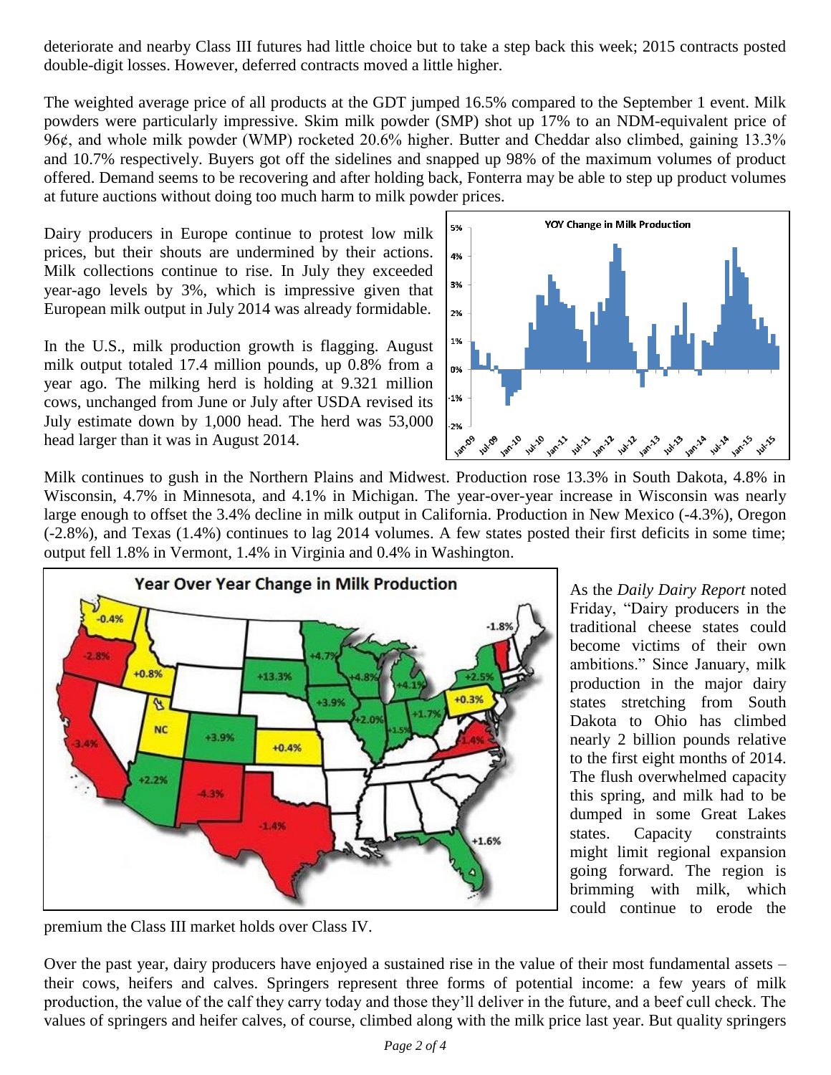deteriorate and nearby Class III futures had little choice but to take a step back this week; 2015 contracts posted double-digit losses. However, deferred contracts moved a little higher.

The weighted average price of all products at the GDT jumped 16.5% compared to the September 1 event. Milk powders were particularly impressive. Skim milk powder (SMP) shot up 17% to an NDM-equivalent price of 96¢, and whole milk powder (WMP) rocketed 20.6% higher. Butter and Cheddar also climbed, gaining 13.3% and 10.7% respectively. Buyers got off the sidelines and snapped up 98% of the maximum volumes of product offered. Demand seems to be recovering and after holding back, Fonterra may be able to step up product volumes at future auctions without doing too much harm to milk powder prices.

Dairy producers in Europe continue to protest low milk prices, but their shouts are undermined by their actions. Milk collections continue to rise. In July they exceeded year-ago levels by 3%, which is impressive given that European milk output in July 2014 was already formidable.

In the U.S., milk production growth is flagging. August milk output totaled 17.4 million pounds, up 0.8% from a year ago. The milking herd is holding at 9.321 million cows, unchanged from June or July after USDA revised its July estimate down by 1,000 head. The herd was 53,000 head larger than it was in August 2014.



Milk continues to gush in the Northern Plains and Midwest. Production rose 13.3% in South Dakota, 4.8% in Wisconsin, 4.7% in Minnesota, and 4.1% in Michigan. The year-over-year increase in Wisconsin was nearly large enough to offset the 3.4% decline in milk output in California. Production in New Mexico (-4.3%), Oregon (-2.8%), and Texas (1.4%) continues to lag 2014 volumes. A few states posted their first deficits in some time; output fell 1.8% in Vermont, 1.4% in Virginia and 0.4% in Washington.



premium the Class III market holds over Class IV.

As the *Daily Dairy Report* noted Friday, "Dairy producers in the traditional cheese states could become victims of their own ambitions." Since January, milk production in the major dairy states stretching from South Dakota to Ohio has climbed nearly 2 billion pounds relative to the first eight months of 2014. The flush overwhelmed capacity this spring, and milk had to be dumped in some Great Lakes states. Capacity constraints might limit regional expansion going forward. The region is brimming with milk, which could continue to erode the

Over the past year, dairy producers have enjoyed a sustained rise in the value of their most fundamental assets – their cows, heifers and calves. Springers represent three forms of potential income: a few years of milk production, the value of the calf they carry today and those they'll deliver in the future, and a beef cull check. The values of springers and heifer calves, of course, climbed along with the milk price last year. But quality springers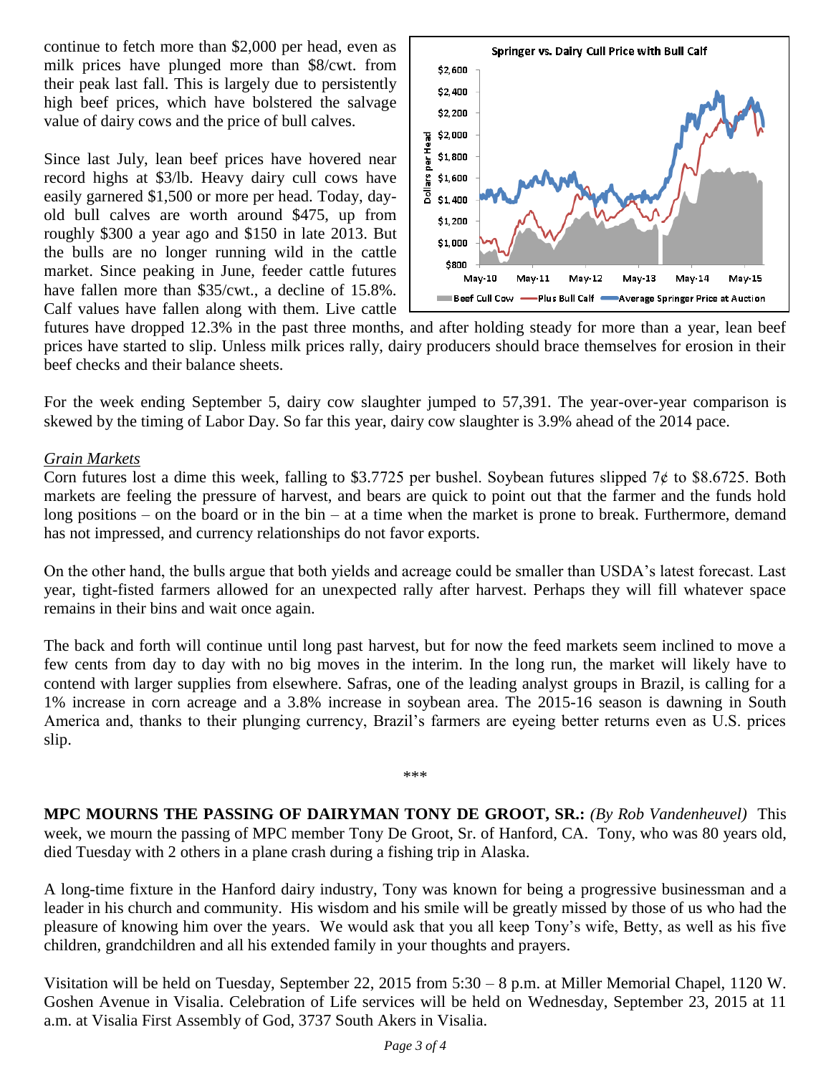continue to fetch more than \$2,000 per head, even as milk prices have plunged more than \$8/cwt. from their peak last fall. This is largely due to persistently high beef prices, which have bolstered the salvage value of dairy cows and the price of bull calves.

Since last July, lean beef prices have hovered near record highs at \$3/lb. Heavy dairy cull cows have easily garnered \$1,500 or more per head. Today, dayold bull calves are worth around \$475, up from roughly \$300 a year ago and \$150 in late 2013. But the bulls are no longer running wild in the cattle market. Since peaking in June, feeder cattle futures have fallen more than \$35/cwt., a decline of 15.8%. Calf values have fallen along with them. Live cattle



futures have dropped 12.3% in the past three months, and after holding steady for more than a year, lean beef prices have started to slip. Unless milk prices rally, dairy producers should brace themselves for erosion in their beef checks and their balance sheets.

For the week ending September 5, dairy cow slaughter jumped to 57,391. The year-over-year comparison is skewed by the timing of Labor Day. So far this year, dairy cow slaughter is 3.9% ahead of the 2014 pace.

# *Grain Markets*

Corn futures lost a dime this week, falling to \$3.7725 per bushel. Soybean futures slipped  $7¢$  to \$8.6725. Both markets are feeling the pressure of harvest, and bears are quick to point out that the farmer and the funds hold long positions – on the board or in the bin – at a time when the market is prone to break. Furthermore, demand has not impressed, and currency relationships do not favor exports.

On the other hand, the bulls argue that both yields and acreage could be smaller than USDA's latest forecast. Last year, tight-fisted farmers allowed for an unexpected rally after harvest. Perhaps they will fill whatever space remains in their bins and wait once again.

The back and forth will continue until long past harvest, but for now the feed markets seem inclined to move a few cents from day to day with no big moves in the interim. In the long run, the market will likely have to contend with larger supplies from elsewhere. Safras, one of the leading analyst groups in Brazil, is calling for a 1% increase in corn acreage and a 3.8% increase in soybean area. The 2015-16 season is dawning in South America and, thanks to their plunging currency, Brazil's farmers are eyeing better returns even as U.S. prices slip.

**MPC MOURNS THE PASSING OF DAIRYMAN TONY DE GROOT, SR.:** *(By Rob Vandenheuvel)* This week, we mourn the passing of MPC member Tony De Groot, Sr. of Hanford, CA. Tony, who was 80 years old, died Tuesday with 2 others in a plane crash during a fishing trip in Alaska.

\*\*\*

A long-time fixture in the Hanford dairy industry, Tony was known for being a progressive businessman and a leader in his church and community. His wisdom and his smile will be greatly missed by those of us who had the pleasure of knowing him over the years. We would ask that you all keep Tony's wife, Betty, as well as his five children, grandchildren and all his extended family in your thoughts and prayers.

Visitation will be held on Tuesday, September 22, 2015 from 5:30 – 8 p.m. at Miller Memorial Chapel, 1120 W. Goshen Avenue in Visalia. Celebration of Life services will be held on Wednesday, September 23, 2015 at 11 a.m. at Visalia First Assembly of God, 3737 South Akers in Visalia.